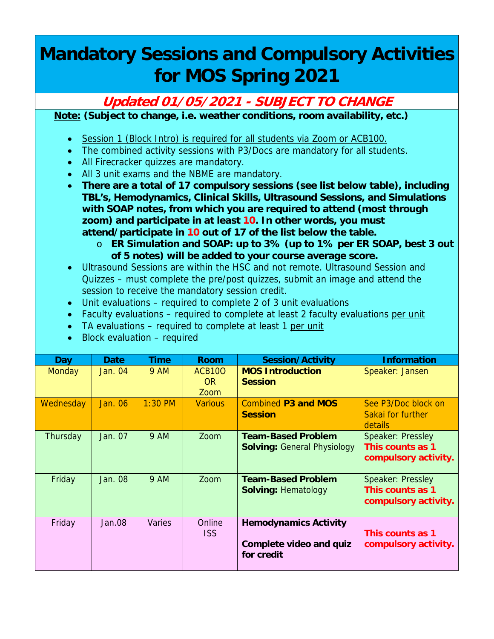## **Mandatory Sessions and Compulsory Activities for MOS Spring 2021**

## **Updated 01/05/2021 - SUBJECT TO CHANGE**

**Note: (Subject to change, i.e. weather conditions, room availability, etc.)**

- Session 1 (Block Intro) is required for all students via Zoom or ACB100.
- The combined activity sessions with P3/Docs are mandatory for all students.
- All Firecracker quizzes are mandatory.
- All 3 unit exams and the NBME are mandatory.

 **There are a total of 17 compulsory sessions (see list below table), including TBL's, Hemodynamics, Clinical Skills, Ultrasound Sessions, and Simulations with SOAP notes, from which you are required to attend (most through zoom) and participate in at least 10. In other words, you must attend/participate in 10 out of 17 of the list below the table.** 

- o **ER Simulation and SOAP: up to 3% (up to 1% per ER SOAP, best 3 out of 5 notes) will be added to your course average score.**
- Ultrasound Sessions are within the HSC and not remote. Ultrasound Session and Quizzes – must complete the pre/post quizzes, submit an image and attend the session to receive the mandatory session credit.
- Unit evaluations required to complete 2 of 3 unit evaluations
- Faculty evaluations required to complete at least 2 faculty evaluations per unit
- TA evaluations required to complete at least 1 per unit
- Block evaluation required

| Day       | Date           | <b>Time</b> | Room                                    | <b>Session/Activity</b>                                               | <b>Information</b>                                            |
|-----------|----------------|-------------|-----------------------------------------|-----------------------------------------------------------------------|---------------------------------------------------------------|
| Monday    | Jan. 04        | <b>9 AM</b> | ACB <sub>100</sub><br><b>OR</b><br>Zoom | <b>MOS Introduction</b><br><b>Session</b>                             | Speaker: Jansen                                               |
| Wednesday | Jan. 06        | $1:30$ PM   | <b>Various</b>                          | <b>Combined P3 and MOS</b><br><b>Session</b>                          | See P3/Doc block on<br>Sakai for further<br>details           |
| Thursday  | Jan. 07        | <b>9 AM</b> | Zoom                                    | <b>Team-Based Problem</b><br><b>Solving: General Physiology</b>       | Speaker: Pressley<br>This counts as 1<br>compulsory activity. |
| Friday    | <b>Jan. 08</b> | 9 AM        | Zoom                                    | <b>Team-Based Problem</b><br><b>Solving: Hematology</b>               | Speaker: Pressley<br>This counts as 1<br>compulsory activity. |
| Friday    | Jan.08         | Varies      | Online<br><b>ISS</b>                    | <b>Hemodynamics Activity</b><br>Complete video and quiz<br>for credit | This counts as 1<br>compulsory activity.                      |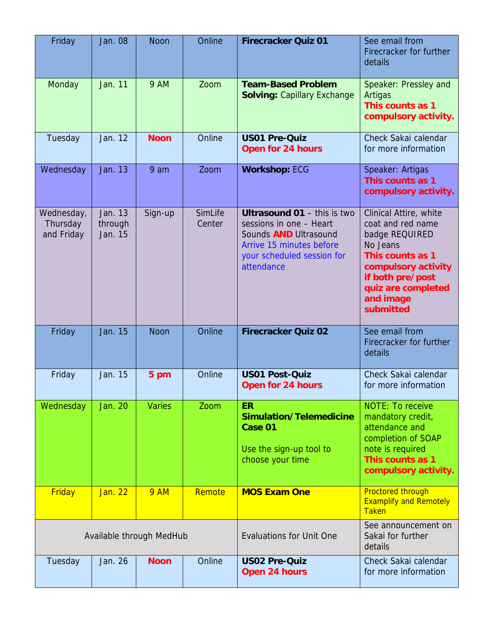| Friday                               | <b>Jan. 08</b>                | <b>Noon</b>   | Online            | <b>Firecracker Quiz 01</b>                                                                                                                                            | See email from<br>Firecracker for further<br>details                                                                                                                                     |
|--------------------------------------|-------------------------------|---------------|-------------------|-----------------------------------------------------------------------------------------------------------------------------------------------------------------------|------------------------------------------------------------------------------------------------------------------------------------------------------------------------------------------|
| Monday                               | Jan. 11                       | <b>9 AM</b>   | Zoom              | <b>Team-Based Problem</b><br><b>Solving: Capillary Exchange</b>                                                                                                       | Speaker: Pressley and<br>Artigas<br>This counts as 1<br>compulsory activity.                                                                                                             |
| Tuesday                              | Jan. 12                       | <b>Noon</b>   | Online            | <b>US01 Pre-Quiz</b><br><b>Open for 24 hours</b>                                                                                                                      | Check Sakai calendar<br>for more information                                                                                                                                             |
| Wednesday                            | Jan. 13                       | 9 am          | Zoom              | <b>Workshop: ECG</b>                                                                                                                                                  | Speaker: Artigas<br>This counts as 1<br>compulsory activity.                                                                                                                             |
| Wednesday,<br>Thursday<br>and Friday | Jan. 13<br>through<br>Jan. 15 | Sign-up       | SimLife<br>Center | <b>Ultrasound 01 - this is two</b><br>sessions in one - Heart<br>Sounds <b>AND</b> Ultrasound<br>Arrive 15 minutes before<br>your scheduled session for<br>attendance | Clinical Attire, white<br>coat and red name<br>badge REQUIRED<br>No Jeans<br>This counts as 1<br>compulsory activity<br>if both pre/post<br>quiz are completed<br>and image<br>submitted |
| Friday                               | Jan. 15                       | <b>Noon</b>   | Online            | <b>Firecracker Quiz 02</b>                                                                                                                                            | See email from<br>Firecracker for further<br>details                                                                                                                                     |
| Friday                               | Jan. 15                       | 5 pm          | Online            | <b>US01 Post-Quiz</b><br><b>Open for 24 hours</b>                                                                                                                     | Check Sakai calendar<br>for more information                                                                                                                                             |
| Wednesday                            | <b>Jan. 20</b>                | <b>Varies</b> | Zoom              | <b>ER</b><br><b>Simulation/Telemedicine</b><br>Case 01<br>Use the sign-up tool to<br>choose your time                                                                 | <b>NOTE: To receive</b><br>mandatory credit,<br>attendance and<br>completion of SOAP<br>note is required<br>This counts as 1<br>compulsory activity.                                     |
| <b>Friday</b>                        | Jan. 22                       | <b>9 AM</b>   | Remote            | <b>MOS Exam One</b>                                                                                                                                                   | <b>Proctored through</b><br><b>Examplify and Remotely</b><br><b>Taken</b>                                                                                                                |
| Available through MedHub             |                               |               |                   | <b>Evaluations for Unit One</b>                                                                                                                                       | See announcement on<br>Sakai for further<br>details                                                                                                                                      |
| Tuesday                              | Jan. 26                       | <b>Noon</b>   | Online            | <b>US02 Pre-Quiz</b><br>Open 24 hours                                                                                                                                 | Check Sakai calendar<br>for more information                                                                                                                                             |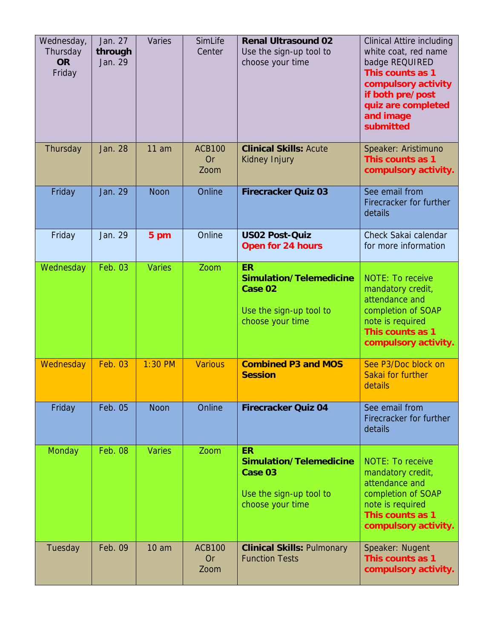| Wednesday,<br>Thursday<br><b>OR</b><br>Friday | Jan. 27<br>through<br>Jan. 29 | Varies                            | SimLife<br>Center                  | <b>Renal Ultrasound 02</b><br>Use the sign-up tool to<br>choose your time                                                                  | <b>Clinical Attire including</b><br>white coat, red name<br>badge REQUIRED<br>This counts as 1<br>compulsory activity<br>if both pre/post<br>quiz are completed<br>and image<br>submitted |
|-----------------------------------------------|-------------------------------|-----------------------------------|------------------------------------|--------------------------------------------------------------------------------------------------------------------------------------------|-------------------------------------------------------------------------------------------------------------------------------------------------------------------------------------------|
| Thursday                                      | Jan. 28                       | 11 am                             | <b>ACB100</b><br><b>Or</b><br>Zoom | <b>Clinical Skills: Acute</b><br>Kidney Injury                                                                                             | Speaker: Aristimuno<br>This counts as 1<br>compulsory activity.                                                                                                                           |
| Friday                                        | Jan. 29                       | <b>Noon</b>                       | Online                             | <b>Firecracker Quiz 03</b>                                                                                                                 | See email from<br>Firecracker for further<br>details                                                                                                                                      |
| Friday                                        | Jan. 29                       | 5 pm                              | Online                             | <b>US02 Post-Quiz</b><br><b>Open for 24 hours</b>                                                                                          | Check Sakai calendar<br>for more information                                                                                                                                              |
| Wednesday                                     | Feb. 03                       | <b>Varies</b>                     | Zoom                               | <b>ER</b><br><b>Simulation/Telemedicine</b><br>Case 02<br>Use the sign-up tool to<br>choose your time                                      | <b>NOTE: To receive</b><br>mandatory credit,<br>attendance and<br>completion of SOAP<br>note is required<br>This counts as 1<br>compulsory activity.                                      |
| Wednesday                                     | <b>Feb. 03</b>                | $1:30$ PM                         | <b>Various</b>                     | <b>Combined P3 and MOS</b><br><b>Session</b>                                                                                               | See P3/Doc block on<br>Sakai for further<br>details                                                                                                                                       |
| Friday                                        | Feb. 05                       | <b>Noon</b>                       | Online                             | <b>Firecracker Quiz 04</b>                                                                                                                 | See email from<br>Firecracker for further<br>details                                                                                                                                      |
| Monday<br>Tuesday                             | <b>Feb. 08</b><br>Feb. 09     | <b>Varies</b><br>10 <sub>am</sub> | Zoom<br><b>ACB100</b>              | <b>ER</b><br><b>Simulation/Telemedicine</b><br>Case 03<br>Use the sign-up tool to<br>choose your time<br><b>Clinical Skills: Pulmonary</b> | <b>NOTE: To receive</b><br>mandatory credit,<br>attendance and<br>completion of SOAP<br>note is required<br>This counts as 1<br>compulsory activity.<br>Speaker: Nugent                   |
|                                               |                               |                                   | <b>Or</b><br>Zoom                  | <b>Function Tests</b>                                                                                                                      | This counts as 1<br>compulsory activity.                                                                                                                                                  |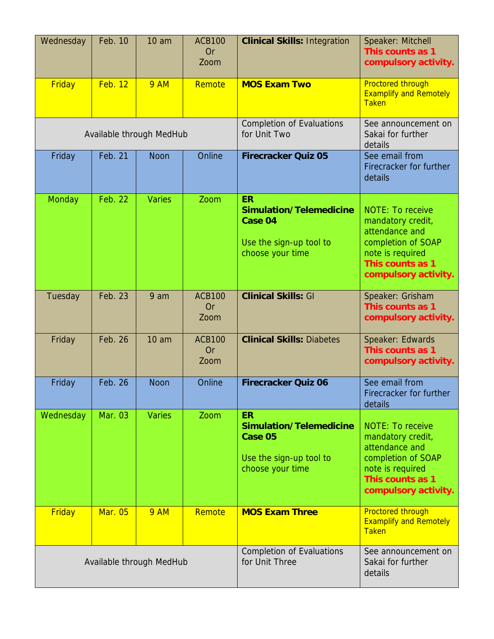| Wednesday                | Feb. 10        | 10 <sub>am</sub>         | <b>ACB100</b><br><b>Or</b><br>Zoom | <b>Clinical Skills: Integration</b>                                                                   | Speaker: Mitchell<br>This counts as 1<br>compulsory activity.                                                                                        |
|--------------------------|----------------|--------------------------|------------------------------------|-------------------------------------------------------------------------------------------------------|------------------------------------------------------------------------------------------------------------------------------------------------------|
| Friday                   | <b>Feb. 12</b> | <b>9 AM</b>              | Remote                             | <b>MOS Exam Two</b>                                                                                   | <b>Proctored through</b><br><b>Examplify and Remotely</b><br><b>Taken</b>                                                                            |
|                          |                | Available through MedHub |                                    | <b>Completion of Evaluations</b><br>for Unit Two                                                      | See announcement on<br>Sakai for further<br>details                                                                                                  |
| Friday                   | Feb. 21        | <b>Noon</b>              | Online                             | <b>Firecracker Quiz 05</b>                                                                            | See email from<br>Firecracker for further<br>details                                                                                                 |
| Monday                   | Feb. 22        | <b>Varies</b>            | Zoom                               | <b>ER</b><br><b>Simulation/Telemedicine</b><br>Case 04<br>Use the sign-up tool to<br>choose your time | <b>NOTE: To receive</b><br>mandatory credit,<br>attendance and<br>completion of SOAP<br>note is required<br>This counts as 1<br>compulsory activity. |
| Tuesday                  | Feb. 23        | 9 am                     | <b>ACB100</b><br><b>Or</b><br>Zoom | <b>Clinical Skills: GI</b>                                                                            | Speaker: Grisham<br>This counts as 1<br>compulsory activity.                                                                                         |
| Friday                   | <b>Feb. 26</b> | 10 <sub>am</sub>         | <b>ACB100</b><br><b>Or</b><br>Zoom | <b>Clinical Skills: Diabetes</b>                                                                      | Speaker: Edwards<br>This counts as 1<br>compulsory activity.                                                                                         |
| Friday                   | Feb. 26        | <b>Noon</b>              | Online                             | <b>Firecracker Quiz 06</b>                                                                            | See email from<br>Firecracker for further<br>details                                                                                                 |
| Wednesday                | Mar. 03        | <b>Varies</b>            | Zoom                               | <b>ER</b><br>Simulation/Telemedicine<br>Case 05<br>Use the sign-up tool to<br>choose your time        | <b>NOTE: To receive</b><br>mandatory credit,<br>attendance and<br>completion of SOAP<br>note is required<br>This counts as 1<br>compulsory activity. |
| Friday                   | <b>Mar. 05</b> | <b>9 AM</b>              | Remote                             | <b>MOS Exam Three</b>                                                                                 | <b>Proctored through</b><br><b>Examplify and Remotely</b><br><b>Taken</b>                                                                            |
| Available through MedHub |                |                          |                                    | <b>Completion of Evaluations</b><br>for Unit Three                                                    | See announcement on<br>Sakai for further<br>details                                                                                                  |